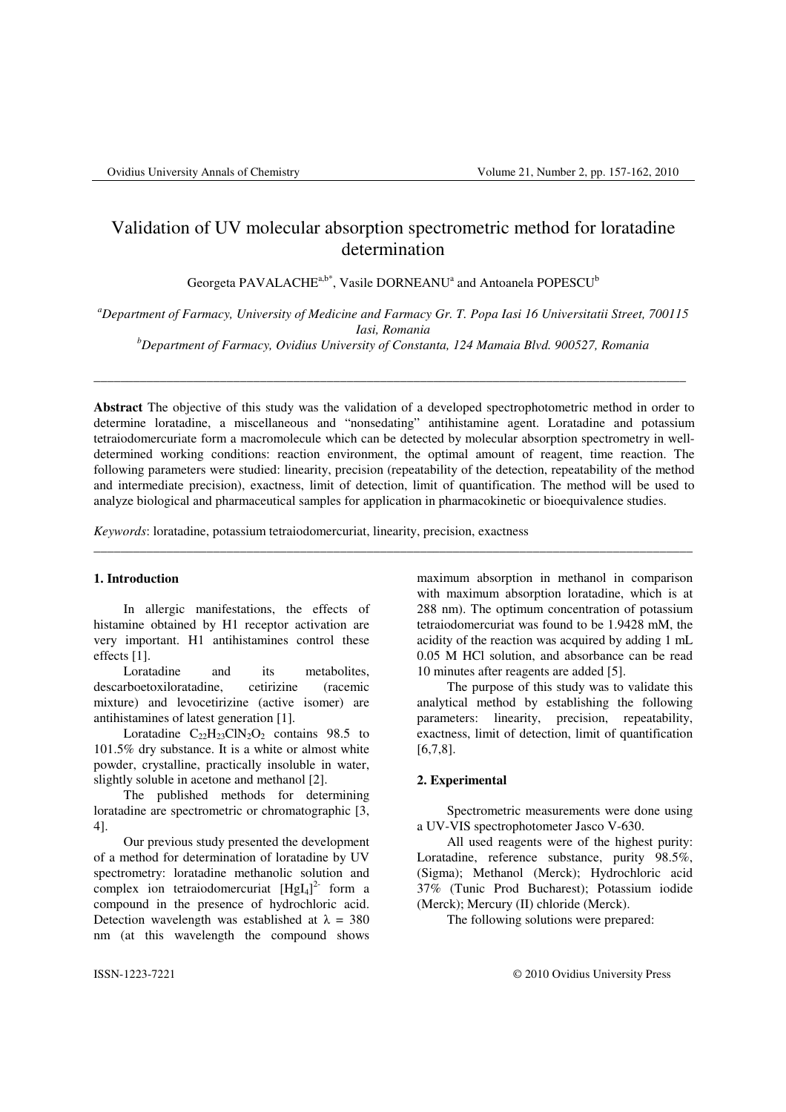# Validation of UV molecular absorption spectrometric method for loratadine determination

Georgeta PAVALACHE $a,b^*$ , Vasile DORNEANU<sup>a</sup> and Antoanela POPESCU<sup>b</sup>

*<sup>a</sup>Department of Farmacy, University of Medicine and Farmacy Gr. T. Popa Iasi 16 Universitatii Street, 700115 Iasi, Romania* 

*<sup>b</sup>Department of Farmacy, Ovidius University of Constanta, 124 Mamaia Blvd. 900527, Romania* 

\_\_\_\_\_\_\_\_\_\_\_\_\_\_\_\_\_\_\_\_\_\_\_\_\_\_\_\_\_\_\_\_\_\_\_\_\_\_\_\_\_\_\_\_\_\_\_\_\_\_\_\_\_\_\_\_\_\_\_\_\_\_\_\_\_\_\_\_\_\_\_\_\_\_\_\_\_\_\_\_\_\_\_\_\_\_\_\_\_

**Abstract** The objective of this study was the validation of a developed spectrophotometric method in order to determine loratadine, a miscellaneous and "nonsedating" antihistamine agent. Loratadine and potassium tetraiodomercuriate form a macromolecule which can be detected by molecular absorption spectrometry in welldetermined working conditions: reaction environment, the optimal amount of reagent, time reaction. The following parameters were studied: linearity, precision (repeatability of the detection, repeatability of the method and intermediate precision), exactness, limit of detection, limit of quantification. The method will be used to analyze biological and pharmaceutical samples for application in pharmacokinetic or bioequivalence studies.

\_\_\_\_\_\_\_\_\_\_\_\_\_\_\_\_\_\_\_\_\_\_\_\_\_\_\_\_\_\_\_\_\_\_\_\_\_\_\_\_\_\_\_\_\_\_\_\_\_\_\_\_\_\_\_\_\_\_\_\_\_\_\_\_\_\_\_\_\_\_\_\_\_\_\_\_\_\_\_\_\_\_\_\_\_\_\_\_\_\_

*Keywords*: loratadine, potassium tetraiodomercuriat, linearity, precision, exactness

#### **1. Introduction**

In allergic manifestations, the effects of histamine obtained by H1 receptor activation are very important. H1 antihistamines control these effects [1].

Loratadine and its metabolites, descarboetoxiloratadine, cetirizine (racemic mixture) and levocetirizine (active isomer) are antihistamines of latest generation [1].

Loratadine  $C_{22}H_{23}CIN_2O_2$  contains 98.5 to 101.5% dry substance. It is a white or almost white powder, crystalline, practically insoluble in water, slightly soluble in acetone and methanol [2].

The published methods for determining loratadine are spectrometric or chromatographic [3, 4].

Our previous study presented the development of a method for determination of loratadine by UV spectrometry: loratadine methanolic solution and complex ion tetraiodomercuriat  $[HgI<sub>4</sub>]<sup>2</sup>$  form a compound in the presence of hydrochloric acid. Detection wavelength was established at  $\lambda = 380$ nm (at this wavelength the compound shows

maximum absorption in methanol in comparison with maximum absorption loratadine, which is at 288 nm). The optimum concentration of potassium tetraiodomercuriat was found to be 1.9428 mM, the acidity of the reaction was acquired by adding 1 mL 0.05 M HCl solution, and absorbance can be read 10 minutes after reagents are added [5].

The purpose of this study was to validate this analytical method by establishing the following parameters: linearity, precision, repeatability, exactness, limit of detection, limit of quantification [6,7,8].

## **2. Experimental**

Spectrometric measurements were done using a UV-VIS spectrophotometer Jasco V-630.

All used reagents were of the highest purity: Loratadine, reference substance, purity 98.5%, (Sigma); Methanol (Merck); Hydrochloric acid 37% (Tunic Prod Bucharest); Potassium iodide (Merck); Mercury (II) chloride (Merck).

The following solutions were prepared: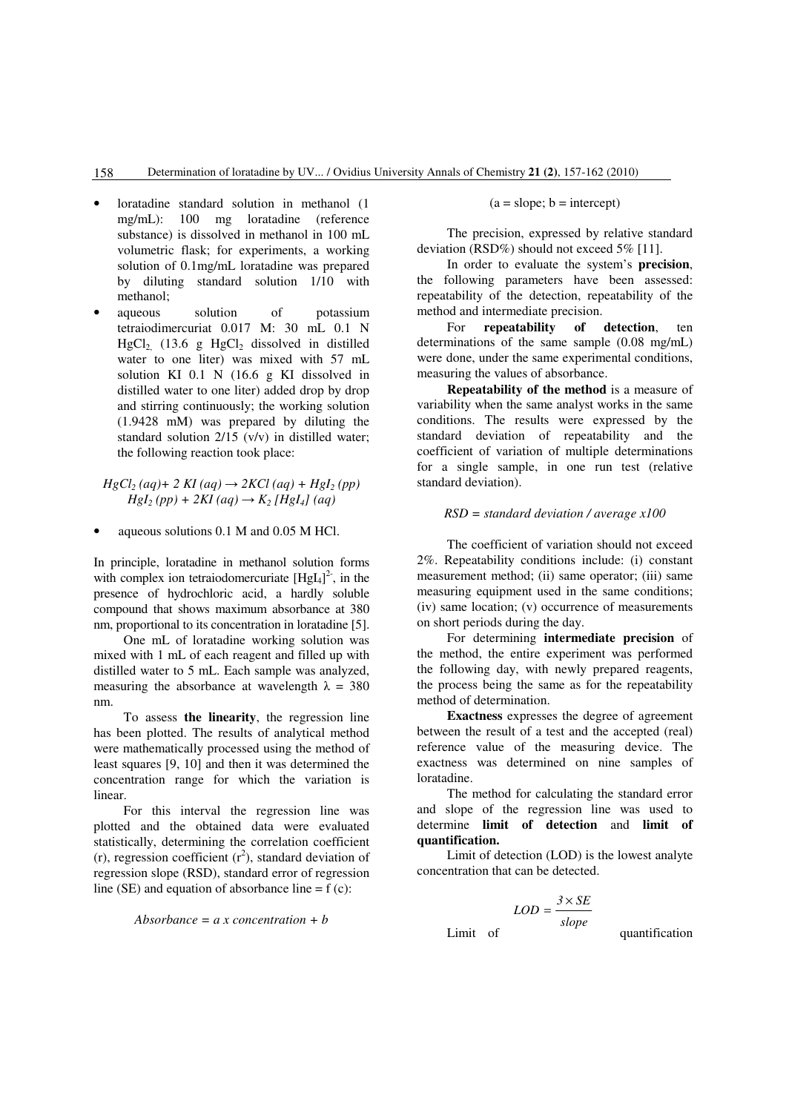- loratadine standard solution in methanol (1 mg/mL): 100 mg loratadine (reference substance) is dissolved in methanol in 100 mL volumetric flask; for experiments, a working solution of 0.1mg/mL loratadine was prepared by diluting standard solution 1/10 with methanol;
- aqueous solution of potassium tetraiodimercuriat 0.017 M: 30 mL 0.1 N HgCl<sub>2</sub> (13.6 g HgCl<sub>2</sub> dissolved in distilled water to one liter) was mixed with 57 mL solution KI 0.1 N (16.6 g KI dissolved in distilled water to one liter) added drop by drop and stirring continuously; the working solution (1.9428 mM) was prepared by diluting the standard solution 2/15 (v/v) in distilled water; the following reaction took place:

 $HgCl<sub>2</sub>(aq) + 2 Kl (aq) \rightarrow 2KCl (aq) + HgI<sub>2</sub>(pp)$  $Hgl<sub>2</sub>(pp) + 2KI(aq) \rightarrow K<sub>2</sub>/Hgl<sub>4</sub>$ *(aq)* 

• aqueous solutions 0.1 M and 0.05 M HCl.

In principle, loratadine in methanol solution forms with complex ion tetraiodomercuriate  $[HgI<sub>4</sub>]<sup>2</sup>$ , in the presence of hydrochloric acid, a hardly soluble compound that shows maximum absorbance at 380 nm, proportional to its concentration in loratadine [5].

One mL of loratadine working solution was mixed with 1 mL of each reagent and filled up with distilled water to 5 mL. Each sample was analyzed, measuring the absorbance at wavelength  $\lambda = 380$ nm.

To assess **the linearity**, the regression line has been plotted. The results of analytical method were mathematically processed using the method of least squares [9, 10] and then it was determined the concentration range for which the variation is linear.

For this interval the regression line was plotted and the obtained data were evaluated statistically, determining the correlation coefficient (r), regression coefficient  $(r^2)$ , standard deviation of regression slope (RSD), standard error of regression line (SE) and equation of absorbance line  $= f(c)$ :

$$
Absorbance = a x concentration + b
$$

 $(a = slope; b = intercept)$ 

The precision, expressed by relative standard deviation (RSD%) should not exceed 5% [11].

In order to evaluate the system's **precision**, the following parameters have been assessed: repeatability of the detection, repeatability of the method and intermediate precision.

For **repeatability of detection**, ten determinations of the same sample (0.08 mg/mL) were done, under the same experimental conditions, measuring the values of absorbance.

**Repeatability of the method** is a measure of variability when the same analyst works in the same conditions. The results were expressed by the standard deviation of repeatability and the coefficient of variation of multiple determinations for a single sample, in one run test (relative standard deviation).

## *RSD = standard deviation / average x100*

The coefficient of variation should not exceed 2%. Repeatability conditions include: (i) constant measurement method; (ii) same operator; (iii) same measuring equipment used in the same conditions; (iv) same location; (v) occurrence of measurements on short periods during the day.

For determining **intermediate precision** of the method, the entire experiment was performed the following day, with newly prepared reagents, the process being the same as for the repeatability method of determination.

**Exactness** expresses the degree of agreement between the result of a test and the accepted (real) reference value of the measuring device. The exactness was determined on nine samples of loratadine.

The method for calculating the standard error and slope of the regression line was used to determine **limit of detection** and **limit of quantification.**

Limit of detection (LOD) is the lowest analyte concentration that can be detected.

$$
LOD = \frac{3 \times SE}{slope}
$$
 Limit of quantification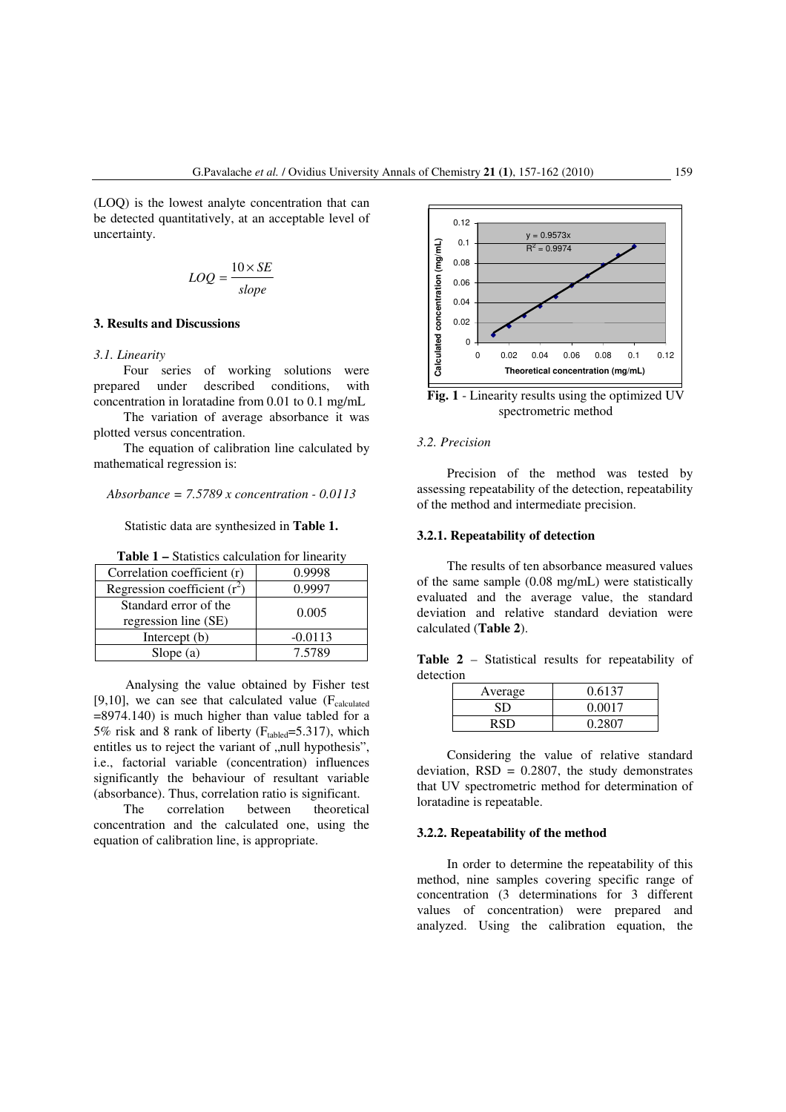(LOQ) is the lowest analyte concentration that can be detected quantitatively, at an acceptable level of uncertainty.

$$
LOQ = \frac{10 \times SE}{slope}
$$

## **3. Results and Discussions**

#### *3.1. Linearity*

Four series of working solutions were prepared under described conditions, with concentration in loratadine from 0.01 to 0.1 mg/mL

The variation of average absorbance it was plotted versus concentration.

The equation of calibration line calculated by mathematical regression is:

#### *Absorbance = 7.5789 x concentration - 0.0113*

Statistic data are synthesized in **Table 1.** 

| <b>Table 1 – Statistics calculation for linearity</b> |  |
|-------------------------------------------------------|--|
|-------------------------------------------------------|--|

| Correlation coefficient (r)                   | 0.9998    |  |
|-----------------------------------------------|-----------|--|
| Regression coefficient $(r^2)$                | 0.9997    |  |
| Standard error of the<br>regression line (SE) | 0.005     |  |
| Intercept (b)                                 | $-0.0113$ |  |
| Slope $(a)$                                   | 7.5789    |  |

Analysing the value obtained by Fisher test [9,10], we can see that calculated value  $(F_{calculated})$  $=8974.140$ ) is much higher than value tabled for a 5% risk and 8 rank of liberty ( $F_{\text{tabled}}$ =5.317), which entitles us to reject the variant of "null hypothesis", i.e., factorial variable (concentration) influences significantly the behaviour of resultant variable (absorbance). Thus, correlation ratio is significant.

The correlation between theoretical concentration and the calculated one, using the equation of calibration line, is appropriate.



**Fig. 1** - Linearity results using the optimized UV spectrometric method

## *3.2. Precision*

Precision of the method was tested by assessing repeatability of the detection, repeatability of the method and intermediate precision.

#### **3.2.1. Repeatability of detection**

The results of ten absorbance measured values of the same sample (0.08 mg/mL) were statistically evaluated and the average value, the standard deviation and relative standard deviation were calculated (**Table 2**).

**Table 2** – Statistical results for repeatability of detection

| Average | 0.6137 |
|---------|--------|
| SD.     | 0.0017 |
| RSD     | 0.2807 |

Considering the value of relative standard deviation,  $RSD = 0.2807$ , the study demonstrates that UV spectrometric method for determination of loratadine is repeatable.

#### **3.2.2. Repeatability of the method**

In order to determine the repeatability of this method, nine samples covering specific range of concentration (3 determinations for 3 different values of concentration) were prepared and analyzed. Using the calibration equation, the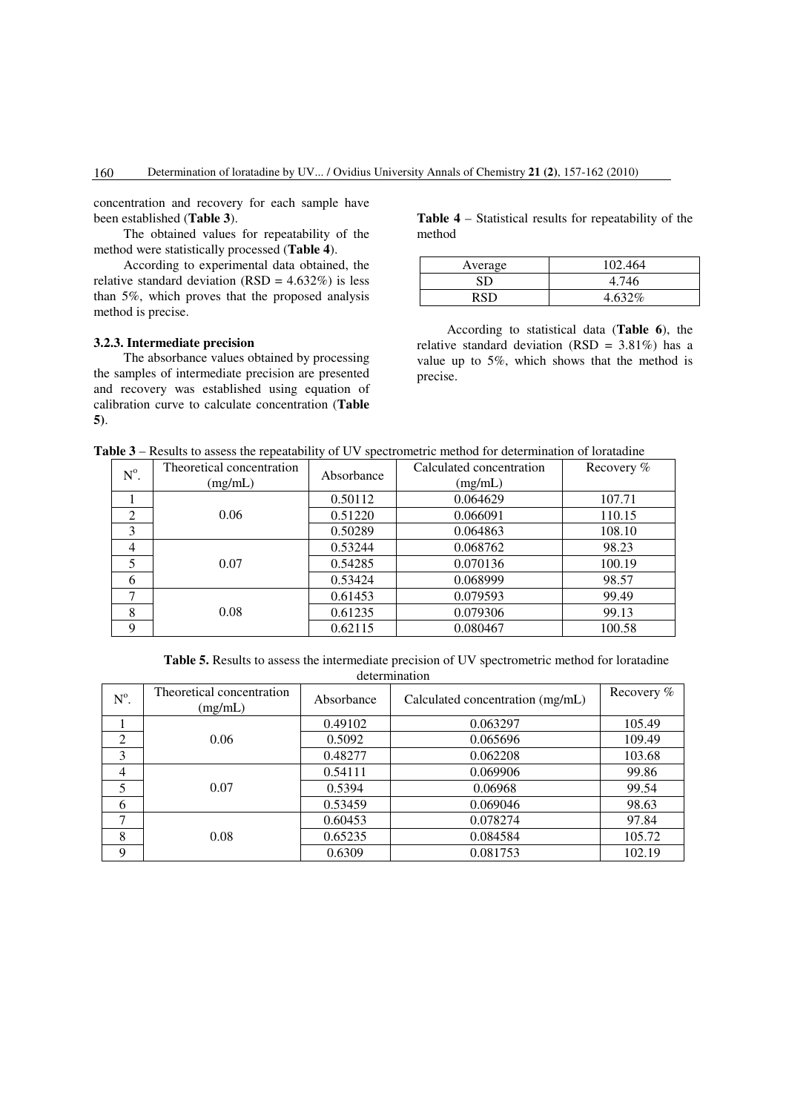concentration and recovery for each sample have been established (**Table 3**).

The obtained values for repeatability of the method were statistically processed (**Table 4**).

According to experimental data obtained, the relative standard deviation ( $RSD = 4.632\%$ ) is less than 5%, which proves that the proposed analysis method is precise.

## **3.2.3. Intermediate precision**

The absorbance values obtained by processing the samples of intermediate precision are presented and recovery was established using equation of calibration curve to calculate concentration (**Table 5)**.

**Table 4** – Statistical results for repeatability of the method

| Average | 102.464 |
|---------|---------|
| SD      | 4.746   |
| RSD     | 4.632%  |

According to statistical data (**Table 6**), the relative standard deviation (RSD =  $3.81\%$ ) has a value up to 5%, which shows that the method is precise.

| $N^{\circ}$ .  | Theoretical concentration | Absorbance | Calculated concentration | Recovery % |
|----------------|---------------------------|------------|--------------------------|------------|
|                | (mg/mL)                   |            | (mg/mL)                  |            |
|                |                           | 0.50112    | 0.064629                 | 107.71     |
| 2              | 0.06                      | 0.51220    | 0.066091                 | 110.15     |
| 3              |                           | 0.50289    | 0.064863                 | 108.10     |
| $\overline{4}$ |                           | 0.53244    | 0.068762                 | 98.23      |
| 5              | 0.07                      | 0.54285    | 0.070136                 | 100.19     |
| 6              |                           | 0.53424    | 0.068999                 | 98.57      |
| 7              |                           | 0.61453    | 0.079593                 | 99.49      |
| 8              | 0.08                      | 0.61235    | 0.079306                 | 99.13      |
| 9              |                           | 0.62115    | 0.080467                 | 100.58     |

**Table 5.** Results to assess the intermediate precision of UV spectrometric method for loratadine determination

| $N^{\circ}$ . | Theoretical concentration<br>(mg/mL) | Absorbance | Calculated concentration (mg/mL) | Recovery % |
|---------------|--------------------------------------|------------|----------------------------------|------------|
|               |                                      | 0.49102    | 0.063297                         | 105.49     |
| 2             | 0.06                                 | 0.5092     | 0.065696                         | 109.49     |
| 3             |                                      | 0.48277    | 0.062208                         | 103.68     |
| 4             |                                      | 0.54111    | 0.069906                         | 99.86      |
| 5             | 0.07                                 | 0.5394     | 0.06968                          | 99.54      |
| 6             |                                      | 0.53459    | 0.069046                         | 98.63      |
| ⇁             |                                      | 0.60453    | 0.078274                         | 97.84      |
| 8             | 0.08                                 | 0.65235    | 0.084584                         | 105.72     |
| 9             |                                      | 0.6309     | 0.081753                         | 102.19     |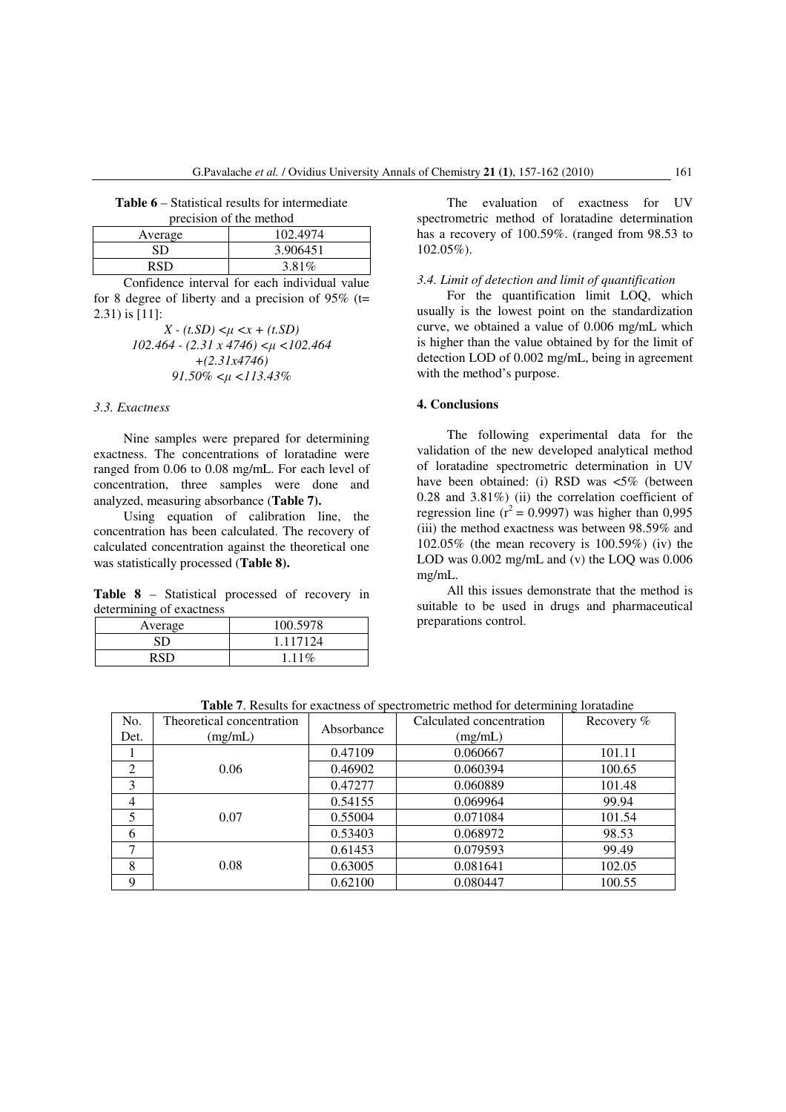|  |                                                     |  | <b>Table 6</b> – Statistical results for intermediate |
|--|-----------------------------------------------------|--|-------------------------------------------------------|
|  | المستطف والمتحدث والفائك والمستند والمستحد والمستحد |  |                                                       |

| precision of the method |          |  |
|-------------------------|----------|--|
| Average                 | 102.4974 |  |
| SD                      | 3.906451 |  |
| RSD                     | $3.81\%$ |  |

Confidence interval for each individual value for 8 degree of liberty and a precision of  $95\%$  (t= 2.31) is [11]:

> *X - (t.SD) <*µ *<x + (t.SD) 102.464 - (2.31 x 4746) <*µ *<102.464 +(2.31x4746) 91.50% <*µ *<113.43%*

## *3.3. Exactness*

Nine samples were prepared for determining exactness. The concentrations of loratadine were ranged from 0.06 to 0.08 mg/mL. For each level of concentration, three samples were done and analyzed, measuring absorbance (**Table 7).** 

Using equation of calibration line, the concentration has been calculated. The recovery of calculated concentration against the theoretical one was statistically processed (**Table 8).** 

**Table 8** – Statistical processed of recovery in determining of exactness

| Average | 100.5978 |
|---------|----------|
| SD      | 1.117124 |
|         | 1 1 1 %  |

The evaluation of exactness for UV spectrometric method of loratadine determination has a recovery of 100.59%. (ranged from 98.53 to 102.05%).

## *3.4. Limit of detection and limit of quantification*

For the quantification limit LOQ, which usually is the lowest point on the standardization curve, we obtained a value of 0.006 mg/mL which is higher than the value obtained by for the limit of detection LOD of 0.002 mg/mL, being in agreement with the method's purpose.

#### **4. Conclusions**

The following experimental data for the validation of the new developed analytical method of loratadine spectrometric determination in UV have been obtained: (i) RSD was  $\lt5\%$  (between 0.28 and 3.81%) (ii) the correlation coefficient of regression line ( $r^2$  = 0.9997) was higher than 0,995 (iii) the method exactness was between 98.59% and 102.05% (the mean recovery is 100.59%) (iv) the LOD was 0.002 mg/mL and (v) the LOQ was 0.006 mg/mL.

All this issues demonstrate that the method is suitable to be used in drugs and pharmaceutical preparations control.

| No.            | Theoretical concentration | Absorbance | Calculated concentration | Recovery % |
|----------------|---------------------------|------------|--------------------------|------------|
| Det.           | (mg/mL)                   |            | (mg/mL)                  |            |
|                |                           | 0.47109    | 0.060667                 | 101.11     |
| 2              | 0.06                      | 0.46902    | 0.060394                 | 100.65     |
| 3              |                           | 0.47277    | 0.060889                 | 101.48     |
| $\overline{4}$ |                           | 0.54155    | 0.069964                 | 99.94      |
| 5              | 0.07                      | 0.55004    | 0.071084                 | 101.54     |
| 6              |                           | 0.53403    | 0.068972                 | 98.53      |
| 7              |                           | 0.61453    | 0.079593                 | 99.49      |
| 8              | 0.08                      | 0.63005    | 0.081641                 | 102.05     |
| 9              |                           | 0.62100    | 0.080447                 | 100.55     |

**Table 7**. Results for exactness of spectrometric method for determining loratadine